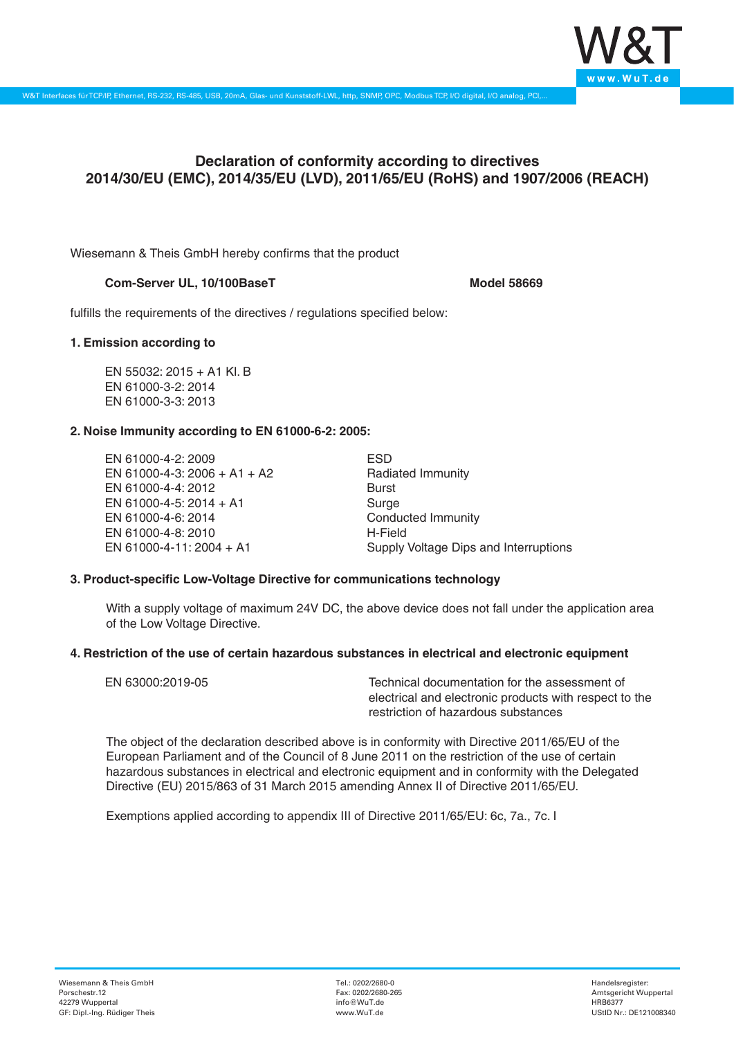

# **Declaration of conformity according to directives 2014/30/EU (EMC), 2014/35/EU (LVD), 2011/65/EU (RoHS) and 1907/2006 (REACH)**

Wiesemann & Theis GmbH hereby confirms that the product

## **Com-Server UL, 10/100BaseT Model 58669**

fulfills the requirements of the directives / regulations specified below:

## **1. Emission according to**

EN 55032: 2015 + A1 Kl. B EN 61000-3-2: 2014 EN 61000-3-3: 2013

## **2. Noise Immunity according to EN 61000-6-2: 2005:**

EN 61000-4-2: 2009 EN 61000-4-3: 2006 + A1 + A2 EN 61000-4-4: 2012 EN 61000-4-5: 2014 + A1 EN 61000-4-6: 2014 EN 61000-4-8: 2010 EN 61000-4-11: 2004 + A1

ESD Radiated Immunity Burst Surge Conducted Immunity H-Field Supply Voltage Dips and Interruptions

### **3. Product-specific Low-Voltage Directive for communications technology**

With a supply voltage of maximum 24V DC, the above device does not fall under the application area of the Low Voltage Directive.

### **4. Restriction of the use of certain hazardous substances in electrical and electronic equipment**

| EN 63000:2019-05 | Technical documentation for the assessment of          |
|------------------|--------------------------------------------------------|
|                  | electrical and electronic products with respect to the |
|                  | restriction of hazardous substances                    |

The object of the declaration described above is in conformity with Directive 2011/65/EU of the European Parliament and of the Council of 8 June 2011 on the restriction of the use of certain hazardous substances in electrical and electronic equipment and in conformity with the Delegated Directive (EU) 2015/863 of 31 March 2015 amending Annex II of Directive 2011/65/EU.

Exemptions applied according to appendix III of Directive 2011/65/EU: 6c, 7a., 7c. I